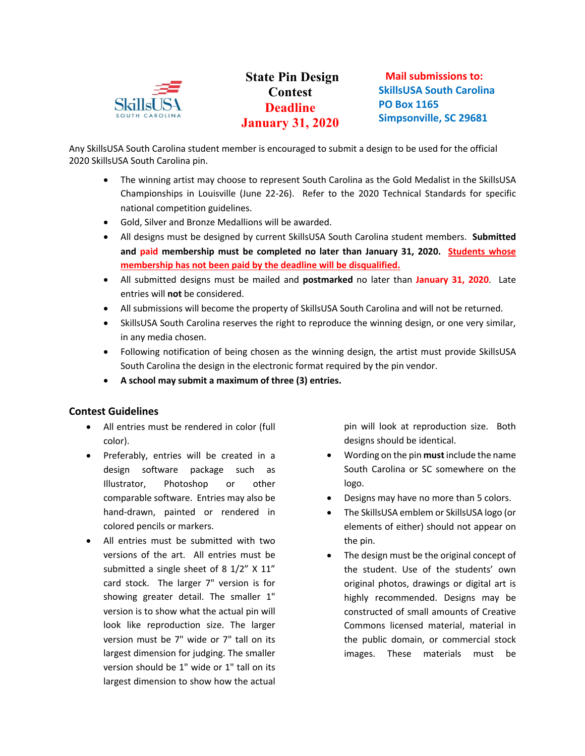

## **State Pin Design Contest Deadline January 31, 2020**

**Mail submissions to: SkillsUSA South Carolina PO Box 1165 Simpsonville, SC 29681**

Any SkillsUSA South Carolina student member is encouraged to submit a design to be used for the official 2020 SkillsUSA South Carolina pin.

- The winning artist may choose to represent South Carolina as the Gold Medalist in the SkillsUSA Championships in Louisville (June 22-26). Refer to the 2020 Technical Standards for specific national competition guidelines.
- Gold, Silver and Bronze Medallions will be awarded.
- All designs must be designed by current SkillsUSA South Carolina student members. **Submitted and paid membership must be completed no later than January 31, 2020. Students whose membership has not been paid by the deadline will be disqualified.**
- All submitted designs must be mailed and **postmarked** no later than **January 31, 2020**. Late entries will **not** be considered.
- All submissions will become the property of SkillsUSA South Carolina and will not be returned.
- SkillsUSA South Carolina reserves the right to reproduce the winning design, or one very similar, in any media chosen.
- Following notification of being chosen as the winning design, the artist must provide SkillsUSA South Carolina the design in the electronic format required by the pin vendor.
- **A school may submit a maximum of three (3) entries.**

## **Contest Guidelines**

- All entries must be rendered in color (full color).
- Preferably, entries will be created in a design software package such as Illustrator, Photoshop or other comparable software. Entries may also be hand-drawn, painted or rendered in colored pencils or markers.
- All entries must be submitted with two versions of the art. All entries must be submitted a single sheet of 8 1/2" X 11" card stock. The larger 7" version is for showing greater detail. The smaller 1" version is to show what the actual pin will look like reproduction size. The larger version must be 7" wide or 7" tall on its largest dimension for judging. The smaller version should be 1" wide or 1" tall on its largest dimension to show how the actual

pin will look at reproduction size. Both designs should be identical.

- Wording on the pin **must**include the name South Carolina or SC somewhere on the logo.
- Designs may have no more than 5 colors.
- The SkillsUSA emblem or SkillsUSA logo (or elements of either) should not appear on the pin.
- The design must be the original concept of the student. Use of the students' own original photos, drawings or digital art is highly recommended. Designs may be constructed of small amounts of Creative Commons licensed material, material in the public domain, or commercial stock images. These materials must be